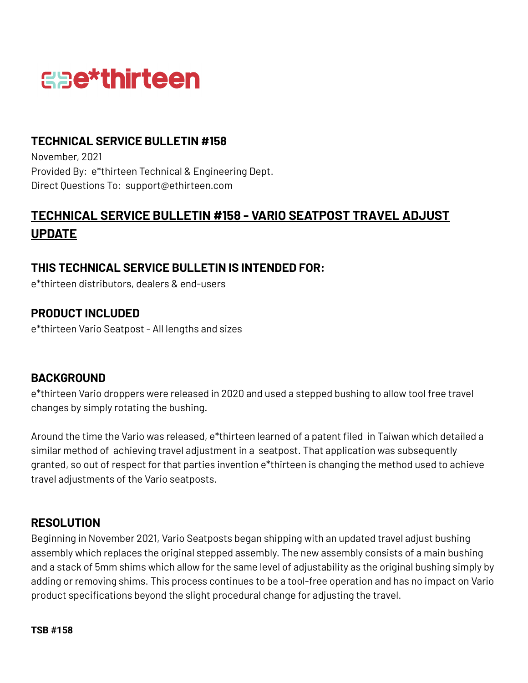

### **TECHNICAL SERVICE BULLETIN #158**

November, 2021 Provided By: e\*thirteen Technical & Engineering Dept. Direct Questions To: support@ethirteen.com

# **TECHNICAL SERVICE BULLETIN #158 - VARIO SEATPOST TRAVEL ADJUST UPDATE**

#### **THIS TECHNICAL SERVICE BULLETIN IS INTENDED FOR:**

e\*thirteen distributors, dealers & end-users

### **PRODUCT INCLUDED**

e\*thirteen Vario Seatpost - All lengths and sizes

#### **BACKGROUND**

e\*thirteen Vario droppers were released in 2020 and used a stepped bushing to allow tool free travel changes by simply rotating the bushing.

Around the time the Vario was released, e\*thirteen learned of a patent filed in Taiwan which detailed a similar method of achieving travel adjustment in a seatpost. That application was subsequently granted, so out of respect for that parties invention e\*thirteen is changing the method used to achieve travel adjustments of the Vario seatposts.

#### **RESOLUTION**

Beginning in November 2021, Vario Seatposts began shipping with an updated travel adjust bushing assembly which replaces the original stepped assembly. The new assembly consists of a main bushing and a stack of 5mm shims which allow for the same level of adjustability as the original bushing simply by adding or removing shims. This process continues to be a tool-free operation and has no impact on Vario product specifications beyond the slight procedural change for adjusting the travel.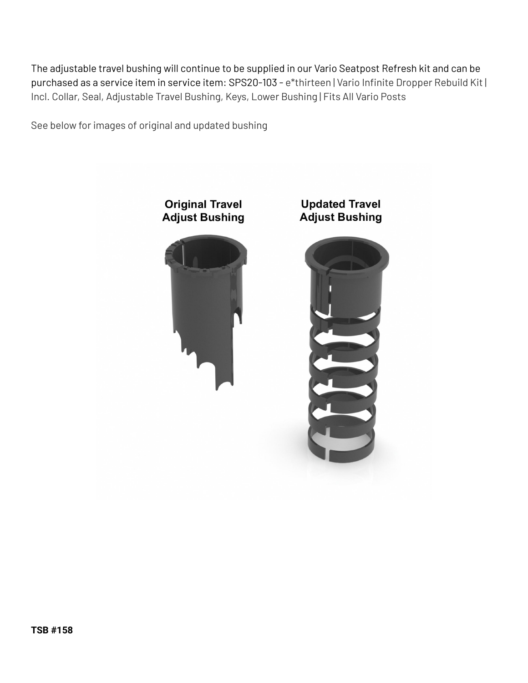The adjustable travel bushing will continue to be supplied in our Vario Seatpost Refresh kit and can be purchased as a service item in service item: SPS20-103 - e\*thirteen | Vario Infinite Dropper Rebuild Kit | Incl. Collar, Seal, Adjustable Travel Bushing, Keys, Lower Bushing | Fits All Vario Posts

See below for images of original and updated bushing

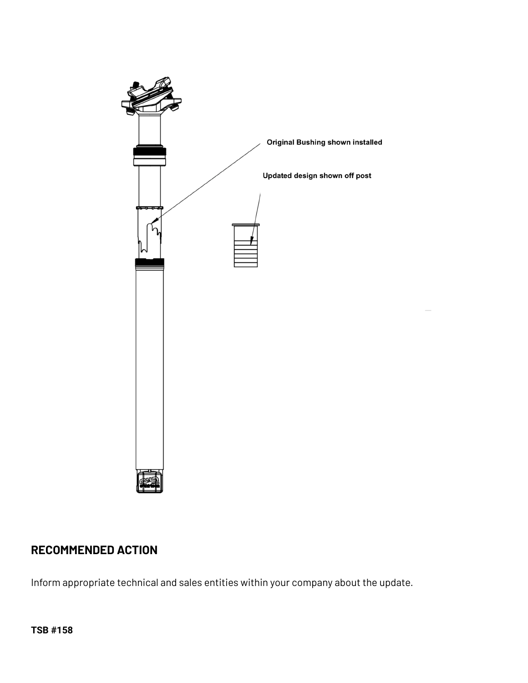

# **RECOMMENDED ACTION**

Inform appropriate technical and sales entities within your company about the update.